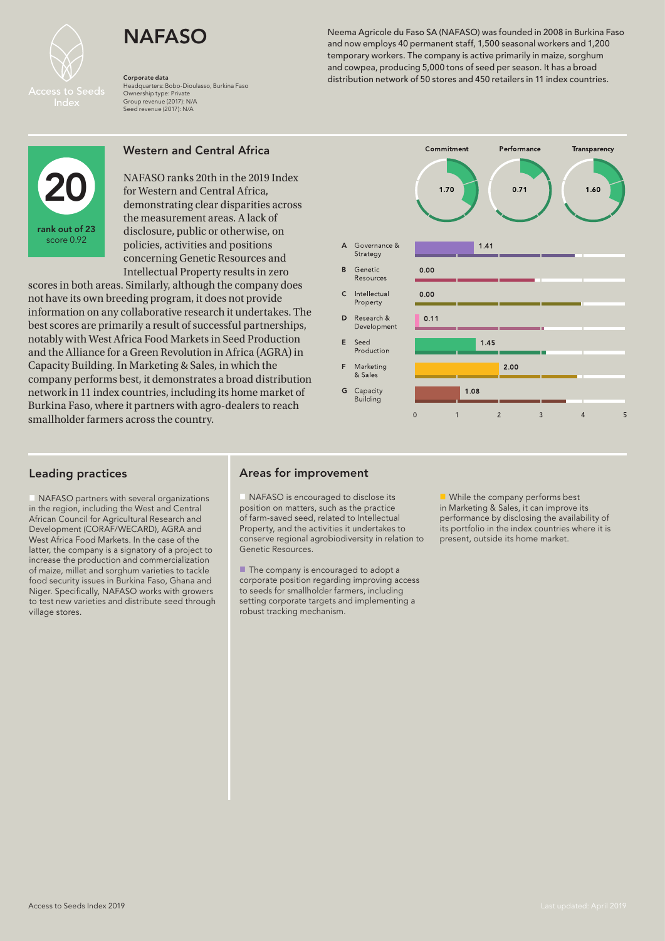

Headquarters: Bobo-Dioulasso, Burkina Faso Ownership type: Private Group revenue (2017): N/A Seed revenue (2017): N/A

NAFASO Neema Agricole du Faso SA (NAFASO) was founded in 2008 in Burkina Faso و NAFASO Neema Agricole du Faso SA (NAFASO) was founded in 2008 in Burkina Faso  $\frac{1}{200}$ temporary workers. The company is active primarily in maize, sorghum and cowpea, producing 5,000 tons of seed per season. It has a broad distribution network of 50 stores and 450 retailers in 11 index countries. Corporate data



# Western and Central Africa

NAFASO ranks 20th in the 2019 Index for Western and Central Africa, demonstrating clear disparities across the measurement areas. A lack of disclosure, public or otherwise, on policies, activities and positions concerning Genetic Resources and Intellectual Property results in zero

scores in both areas. Similarly, although the company does not have its own breeding program, it does not provide information on any collaborative research it undertakes. The best scores are primarily a result of successful partnerships, notably with West Africa Food Markets in Seed Production and the Alliance for a Green Revolution in Africa (AGRA) in Capacity Building. In Marketing & Sales, in which the company performs best, it demonstrates a broad distribution network in 11 index countries, including its home market of Burkina Faso, where it partners with agro-dealers to reach smallholder farmers across the country.



# Leading practices

NAFASO partners with several organizations in the region, including the West and Central African Council for Agricultural Research and Development (CORAF/WECARD), AGRA and West Africa Food Markets. In the case of the latter, the company is a signatory of a project to increase the production and commercialization of maize, millet and sorghum varieties to tackle food security issues in Burkina Faso, Ghana and Niger. Specifically, NAFASO works with growers to test new varieties and distribute seed through village stores.

# Areas for improvement

NAFASO is encouraged to disclose its position on matters, such as the practice of farm-saved seed, related to Intellectual Property, and the activities it undertakes to conserve regional agrobiodiversity in relation to Genetic Resources.

 $\blacksquare$  The company is encouraged to adopt a corporate position regarding improving access to seeds for smallholder farmers, including setting corporate targets and implementing a robust tracking mechanism.

 $\blacksquare$  While the company performs best in Marketing & Sales, it can improve its performance by disclosing the availability of its portfolio in the index countries where it is present, outside its home market.